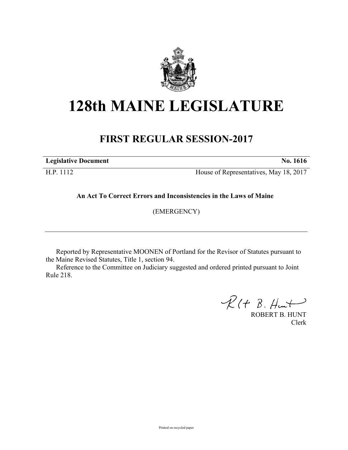

# **128th MAINE LEGISLATURE**

## **FIRST REGULAR SESSION-2017**

**Legislative Document No. 1616**

H.P. 1112 House of Representatives, May 18, 2017

**An Act To Correct Errors and Inconsistencies in the Laws of Maine**

(EMERGENCY)

Reported by Representative MOONEN of Portland for the Revisor of Statutes pursuant to the Maine Revised Statutes, Title 1, section 94.

Reference to the Committee on Judiciary suggested and ordered printed pursuant to Joint Rule 218.

 $R(H B. H +$ 

ROBERT B. HUNT Clerk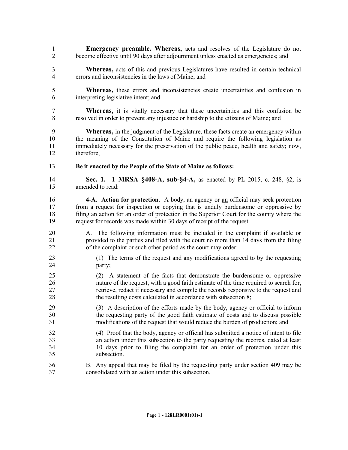- **Emergency preamble. Whereas,** acts and resolves of the Legislature do not become effective until 90 days after adjournment unless enacted as emergencies; and
- **Whereas,** acts of this and previous Legislatures have resulted in certain technical errors and inconsistencies in the laws of Maine; and
- **Whereas,** these errors and inconsistencies create uncertainties and confusion in interpreting legislative intent; and
- **Whereas,** it is vitally necessary that these uncertainties and this confusion be resolved in order to prevent any injustice or hardship to the citizens of Maine; and

 **Whereas,** in the judgment of the Legislature, these facts create an emergency within the meaning of the Constitution of Maine and require the following legislation as immediately necessary for the preservation of the public peace, health and safety; now, therefore,

**Be it enacted by the People of the State of Maine as follows:**

 **Sec. 1. 1 MRSA §408-A, sub-§4-A,** as enacted by PL 2015, c. 248, §2, is amended to read:

- **4-A. Action for protection.** A body, an agency or an official may seek protection from a request for inspection or copying that is unduly burdensome or oppressive by filing an action for an order of protection in the Superior Court for the county where the request for records was made within 30 days of receipt of the request.
- A. The following information must be included in the complaint if available or provided to the parties and filed with the court no more than 14 days from the filing of the complaint or such other period as the court may order:
- (1) The terms of the request and any modifications agreed to by the requesting party;
- (2) A statement of the facts that demonstrate the burdensome or oppressive nature of the request, with a good faith estimate of the time required to search for, retrieve, redact if necessary and compile the records responsive to the request and 28 the resulting costs calculated in accordance with subsection 8;
- (3) A description of the efforts made by the body, agency or official to inform the requesting party of the good faith estimate of costs and to discuss possible modifications of the request that would reduce the burden of production; and
- (4) Proof that the body, agency or official has submitted a notice of intent to file an action under this subsection to the party requesting the records, dated at least 10 days prior to filing the complaint for an order of protection under this subsection.
- B. Any appeal that may be filed by the requesting party under section 409 may be consolidated with an action under this subsection.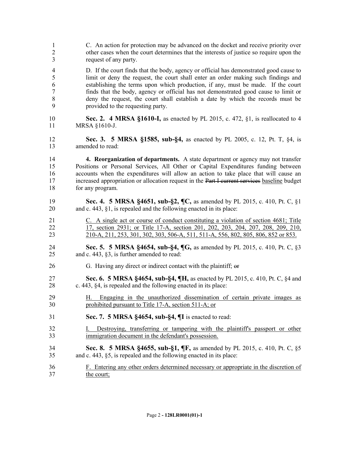| $\mathbf{1}$   | C. An action for protection may be advanced on the docket and receive priority over          |
|----------------|----------------------------------------------------------------------------------------------|
| $\overline{c}$ | other cases when the court determines that the interests of justice so require upon the      |
| 3              | request of any party.                                                                        |
| $\overline{4}$ | D. If the court finds that the body, agency or official has demonstrated good cause to       |
| 5              | limit or deny the request, the court shall enter an order making such findings and           |
| 6              | establishing the terms upon which production, if any, must be made. If the court             |
| $\overline{7}$ | finds that the body, agency or official has not demonstrated good cause to limit or          |
| $8\,$          | deny the request, the court shall establish a date by which the records must be              |
| 9              | provided to the requesting party.                                                            |
| 10             | Sec. 2. 4 MRSA §1610-I, as enacted by PL 2015, c. 472, §1, is reallocated to 4               |
| 11             | MRSA §1610-J.                                                                                |
| 12             | Sec. 3. 5 MRSA §1585, sub-§4, as enacted by PL 2005, c. 12, Pt. T, §4, is                    |
| 13             | amended to read:                                                                             |
| 14             | 4. Reorganization of departments. A state department or agency may not transfer              |
| 15             | Positions or Personal Services, All Other or Capital Expenditures funding between            |
| 16             | accounts when the expenditures will allow an action to take place that will cause an         |
| 17             | increased appropriation or allocation request in the Part I current services baseline budget |
| 18             | for any program.                                                                             |
| 19             | Sec. 4. 5 MRSA §4651, sub-§2, ¶C, as amended by PL 2015, c. 410, Pt. C, §1                   |
| 20             | and c. 443, $\S1$ , is repealed and the following enacted in its place:                      |
| 21             | C. A single act or course of conduct constituting a violation of section 4681; Title         |
| 22             | 17, section 2931; or Title 17-A, section 201, 202, 203, 204, 207, 208, 209, 210,             |
| 23             | 210-A, 211, 253, 301, 302, 303, 506-A, 511, 511-A, 556, 802, 805, 806, 852 or 853.           |
| 24             | Sec. 5. 5 MRSA §4654, sub-§4, ¶G, as amended by PL 2015, c. 410, Pt. C, §3                   |
| 25             | and c. 443, §3, is further amended to read:                                                  |
| 26             | G. Having any direct or indirect contact with the plaintiff; or                              |
| 27             | Sec. 6. 5 MRSA §4654, sub-§4, ¶H, as enacted by PL 2015, c. 410, Pt. C, §4 and               |
| 28             | c. 443, §4, is repealed and the following enacted in its place:                              |
| 29             | H. Engaging in the unauthorized dissemination of certain private images as                   |
| 30             | prohibited pursuant to Title 17-A, section 511-A; or                                         |
| 31             | Sec. 7. 5 MRSA §4654, sub-§4, ¶I is enacted to read:                                         |
| 32             | Destroying, transferring or tampering with the plaintiff's passport or other                 |
| 33             | immigration document in the defendant's possession.                                          |
| 34             | <b>Sec. 8. 5 MRSA §4655, sub-§1, ¶F, as amended by PL 2015, c. 410, Pt. C, §5</b>            |
| 35             | and c. 443, §5, is repealed and the following enacted in its place:                          |
| 36             | F. Entering any other orders determined necessary or appropriate in the discretion of        |
| 37             | the court;                                                                                   |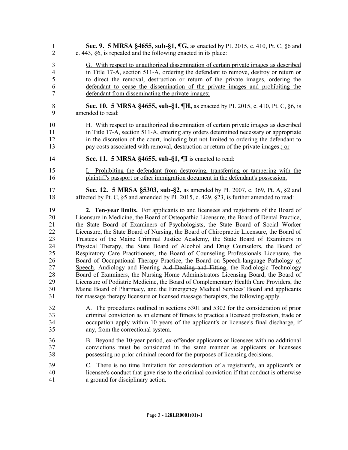| $\mathbf{1}$   | Sec. 9. 5 MRSA §4655, sub-§1, ¶G, as enacted by PL 2015, c. 410, Pt. C, §6 and                 |
|----------------|------------------------------------------------------------------------------------------------|
| $\overline{2}$ | c. 443, §6, is repealed and the following enacted in its place:                                |
| 3              | G. With respect to unauthorized dissemination of certain private images as described           |
| 4              | in Title 17-A, section 511-A, ordering the defendant to remove, destroy or return or           |
| 5              | to direct the removal, destruction or return of the private images, ordering the               |
| 6              | defendant to cease the dissemination of the private images and prohibiting the                 |
| 7              | defendant from disseminating the private images;                                               |
| $\,$ $\,$      | Sec. 10. 5 MRSA §4655, sub-§1, ¶H, as enacted by PL 2015, c. 410, Pt. C, §6, is                |
| 9              | amended to read:                                                                               |
| 10             | H. With respect to unauthorized dissemination of certain private images as described           |
| 11             | in Title 17-A, section 511-A, entering any orders determined necessary or appropriate          |
| 12             | in the discretion of the court, including but not limited to ordering the defendant to         |
| 13             | pay costs associated with removal, destruction or return of the private images.; or            |
| 14             | Sec. 11. 5 MRSA §4655, sub-§1, ¶I is enacted to read:                                          |
| 15             | Prohibiting the defendant from destroying, transferring or tampering with the                  |
| 16             | plaintiff's passport or other immigration document in the defendant's possession.              |
| 17             | Sec. 12. 5 MRSA §5303, sub-§2, as amended by PL 2007, c. 369, Pt. A, §2 and                    |
| 18             | affected by Pt. C, $\S$ 5 and amended by PL 2015, c. 429, $\S$ 23, is further amended to read: |
| 19             | 2. Ten-year limits. For applicants to and licensees and registrants of the Board of            |
| 20             | Licensure in Medicine, the Board of Osteopathic Licensure, the Board of Dental Practice,       |
| 21             | the State Board of Examiners of Psychologists, the State Board of Social Worker                |
| 22             | Licensure, the State Board of Nursing, the Board of Chiropractic Licensure, the Board of       |
| 23             | Trustees of the Maine Criminal Justice Academy, the State Board of Examiners in                |
| 24             | Physical Therapy, the State Board of Alcohol and Drug Counselors, the Board of                 |
| 25             | Respiratory Care Practitioners, the Board of Counseling Professionals Licensure, the           |
| 26             | Board of Occupational Therapy Practice, the Board on Speech-language Pathology of              |
| 27             | Speech, Audiology and Hearing Aid Dealing and Fitting, the Radiologic Technology               |
| 28             | Board of Examiners, the Nursing Home Administrators Licensing Board, the Board of              |
| 29             | Licensure of Podiatric Medicine, the Board of Complementary Health Care Providers, the         |
| 30             | Maine Board of Pharmacy, and the Emergency Medical Services' Board and applicants              |
| 31             | for massage therapy licensure or licensed massage therapists, the following apply.             |
| 32             | A. The procedures outlined in sections 5301 and 5302 for the consideration of prior            |
| 33             | criminal conviction as an element of fitness to practice a licensed profession, trade or       |
| 34             | occupation apply within 10 years of the applicant's or licensee's final discharge, if          |
| 35             | any, from the correctional system.                                                             |
| 36             | B. Beyond the 10-year period, ex-offender applicants or licensees with no additional           |
| 37             | convictions must be considered in the same manner as applicants or licensees                   |
| 38             | possessing no prior criminal record for the purposes of licensing decisions.                   |
| 39             | C. There is no time limitation for consideration of a registrant's, an applicant's or          |
| 40             | licensee's conduct that gave rise to the criminal conviction if that conduct is otherwise      |
| 41             | a ground for disciplinary action.                                                              |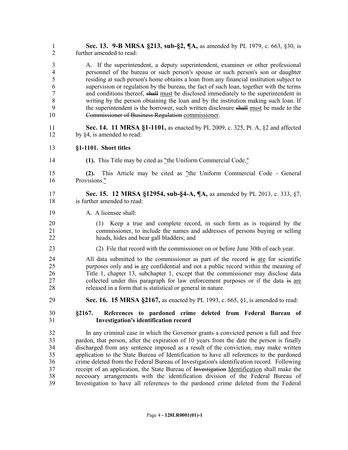| $\mathbf{1}$   | Sec. 13. 9-B MRSA §213, sub-§2, ¶A, as amended by PL 1979, c. 663, §30, is                                            |
|----------------|-----------------------------------------------------------------------------------------------------------------------|
| $\overline{2}$ | further amended to read:                                                                                              |
| 3              | A. If the superintendent, a deputy superintendent, examiner or other professional                                     |
| $\overline{4}$ | personnel of the bureau or such person's spouse or such person's son or daughter                                      |
| 5              | residing at such person's home obtains a loan from any financial institution subject to                               |
| 6              | supervision or regulation by the bureau, the fact of such loan, together with the terms                               |
| $\overline{7}$ | and conditions thereof, shall must be disclosed immediately to the superintendent in                                  |
| $\,8\,$        | writing by the person obtaining the loan and by the institution making such loan. If                                  |
| 9              | the superintendent is the borrower, such written disclosure shall must be made to the                                 |
| 10             | Commissioner of Business Regulation commissioner.                                                                     |
| 11             | <b>Sec. 14. 11 MRSA §1-1101, as enacted by PL 2009, c. 325, Pt. A, §2 and affected</b>                                |
| 12             | by §4, is amended to read:                                                                                            |
| 13             | §1-1101. Short titles                                                                                                 |
| 14             | (1). This Title may be cited as "the Uniform Commercial Code."                                                        |
| 15<br>16       | This Article may be cited as "the Uniform Commercial Code - General<br>(2).<br>Provisions."                           |
| 17             | Sec. 15. 12 MRSA §12954, sub-§4-A, ¶A, as amended by PL 2013, c. 333, §7,                                             |
| 18             | is further amended to read:                                                                                           |
| 19             | A. A licensee shall:                                                                                                  |
| 20             | (1) Keep a true and complete record, in such form as is required by the                                               |
| 21             | commissioner, to include the names and addresses of persons buying or selling                                         |
| 22             | heads, hides and bear gall bladders; and                                                                              |
| 23             | (2) File that record with the commissioner on or before June 30th of each year.                                       |
| 24             | All data submitted to the commissioner as part of the record is are for scientific                                    |
| 25             | purposes only and is are confidential and not a public record within the meaning of                                   |
| 26             | Title 1, chapter 13, subchapter 1, except that the commissioner may disclose data                                     |
| 27             | collected under this paragraph for law enforcement purposes or if the data is are                                     |
| 28             | released in a form that is statistical or general in nature.                                                          |
| 29             | <b>Sec. 16. 15 MRSA §2167, as enacted by PL 1993, c. 665, §1, is amended to read:</b>                                 |
| 30<br>31       | §2167.<br>References to pardoned crime deleted from Federal Bureau of<br><b>Investigation's identification record</b> |
| 32             | In any criminal case in which the Governor grants a convicted person a full and free                                  |
| 33             | pardon, that person, after the expiration of 10 years from the date the person is finally                             |
| 34             | discharged from any sentence imposed as a result of the conviction, may make written                                  |
| 35             | application to the State Bureau of Identification to have all references to the pardoned                              |
| 36             | crime deleted from the Federal Bureau of Investigation's identification record. Following                             |
| 37             | receipt of an application, the State Bureau of Investigation Identification shall make the                            |
| 38             | necessary arrangements with the identification division of the Federal Bureau of                                      |
| 39             | Investigation to have all references to the pardoned crime deleted from the Federal                                   |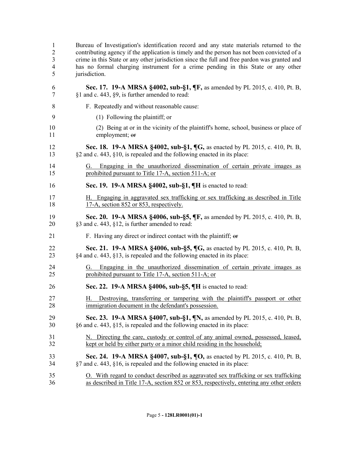| 1              | Bureau of Investigation's identification record and any state materials returned to the                                                   |
|----------------|-------------------------------------------------------------------------------------------------------------------------------------------|
| $\overline{2}$ | contributing agency if the application is timely and the person has not been convicted of a                                               |
| 3              | crime in this State or any other jurisdiction since the full and free pardon was granted and                                              |
| $\overline{4}$ | has no formal charging instrument for a crime pending in this State or any other                                                          |
| 5              | jurisdiction.                                                                                                                             |
| 6              | Sec. 17. 19-A MRSA §4002, sub-§1, ¶F, as amended by PL 2015, c. 410, Pt. B,                                                               |
| 7              | §1 and c. 443, §9, is further amended to read:                                                                                            |
| 8              | F. Repeatedly and without reasonable cause:                                                                                               |
| 9              | (1) Following the plaintiff; or                                                                                                           |
| 10             | (2) Being at or in the vicinity of the plaintiff's home, school, business or place of                                                     |
| 11             | employment; or                                                                                                                            |
| 12             | <b>Sec. 18. 19-A MRSA §4002, sub-§1, <math>\P G</math></b> , as enacted by PL 2015, c. 410, Pt. B,                                        |
| 13             | §2 and c. 443, §10, is repealed and the following enacted in its place:                                                                   |
| 14<br>15       | Engaging in the unauthorized dissemination of certain private images as<br>G.<br>prohibited pursuant to Title 17-A, section 511-A; or     |
| 16             | Sec. 19. 19-A MRSA §4002, sub-§1, ¶H is enacted to read:                                                                                  |
| 17             | H. Engaging in aggravated sex trafficking or sex trafficking as described in Title                                                        |
| 18             | 17-A, section 852 or 853, respectively.                                                                                                   |
| 19             | Sec. 20. 19-A MRSA §4006, sub-§5, ¶F, as amended by PL 2015, c. 410, Pt. B,                                                               |
| 20             | §3 and c. 443, §12, is further amended to read:                                                                                           |
| 21             | F. Having any direct or indirect contact with the plaintiff; or                                                                           |
| 22             | <b>Sec. 21. 19-A MRSA §4006, sub-§5, ¶G, as enacted by PL 2015, c. 410, Pt. B,</b>                                                        |
| 23             | §4 and c. 443, §13, is repealed and the following enacted in its place:                                                                   |
| 24<br>25       | Engaging in the unauthorized dissemination of certain private images as<br>Gù.<br>prohibited pursuant to Title 17-A, section 511-A; or    |
| 26             | Sec. 22. 19-A MRSA $\S$ 4006, sub- $\S$ 5, $\P$ H is enacted to read:                                                                     |
| 27<br>28       | Destroying, transferring or tampering with the plaintiff's passport or other<br>H.<br>immigration document in the defendant's possession. |
| 29             | Sec. 23. 19-A MRSA §4007, sub-§1, ¶N, as amended by PL 2015, c. 410, Pt. B,                                                               |
| 30             | §6 and c. 443, §15, is repealed and the following enacted in its place:                                                                   |
| 31             | N. Directing the care, custody or control of any animal owned, possessed, leased,                                                         |
| 32             | kept or held by either party or a minor child residing in the household;                                                                  |
| 33             | Sec. 24. 19-A MRSA §4007, sub-§1, ¶O, as enacted by PL 2015, c. 410, Pt. B,                                                               |
| 34             | §7 and c. 443, §16, is repealed and the following enacted in its place:                                                                   |
| 35             | O. With regard to conduct described as aggravated sex trafficking or sex trafficking                                                      |
| 36             | as described in Title 17-A, section 852 or 853, respectively, entering any other orders                                                   |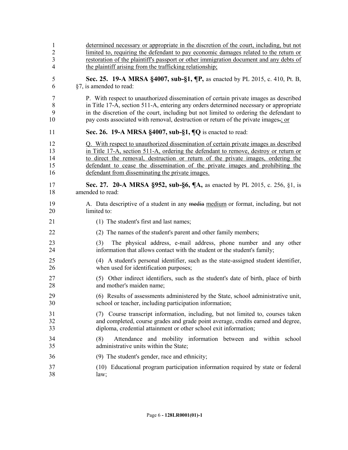| 1              | determined necessary or appropriate in the discretion of the court, including, but not                                                               |
|----------------|------------------------------------------------------------------------------------------------------------------------------------------------------|
| $\overline{2}$ | limited to, requiring the defendant to pay economic damages related to the return or                                                                 |
| 3              | restoration of the plaintiff's passport or other immigration document and any debts of                                                               |
| $\overline{4}$ | the plaintiff arising from the trafficking relationship.                                                                                             |
| 5              | Sec. 25. 19-A MRSA §4007, sub-§1, ¶P, as enacted by PL 2015, c. 410, Pt. B,                                                                          |
| 6              | §7, is amended to read:                                                                                                                              |
| 7              | P. With respect to unauthorized dissemination of certain private images as described                                                                 |
| 8              | in Title 17-A, section 511-A, entering any orders determined necessary or appropriate                                                                |
| 9              | in the discretion of the court, including but not limited to ordering the defendant to                                                               |
| 10             | pay costs associated with removal, destruction or return of the private images.: or                                                                  |
| 11             | Sec. 26. 19-A MRSA $\S$ 4007, sub- $\S$ 1, $\P$ Q is enacted to read:                                                                                |
| 12             | Q. With respect to unauthorized dissemination of certain private images as described                                                                 |
| 13             | in Title 17-A, section 511-A, ordering the defendant to remove, destroy or return or                                                                 |
| 14             | to direct the removal, destruction or return of the private images, ordering the                                                                     |
| 15             | defendant to cease the dissemination of the private images and prohibiting the                                                                       |
| 16             | defendant from disseminating the private images.                                                                                                     |
| 17             | Sec. 27. 20-A MRSA §952, sub-§6, ¶A, as enacted by PL 2015, c. 256, §1, is                                                                           |
| 18             | amended to read:                                                                                                                                     |
| 19             | A. Data descriptive of a student in any media medium or format, including, but not                                                                   |
| 20             | limited to:                                                                                                                                          |
| 21             | (1) The student's first and last names;                                                                                                              |
| 22             | (2) The names of the student's parent and other family members;                                                                                      |
| 23<br>24       | The physical address, e-mail address, phone number and any other<br>(3)<br>information that allows contact with the student or the student's family; |
| 25             | (4) A student's personal identifier, such as the state-assigned student identifier,                                                                  |
| 26             | when used for identification purposes;                                                                                                               |
| 27             | (5) Other indirect identifiers, such as the student's date of birth, place of birth                                                                  |
| 28             | and mother's maiden name;                                                                                                                            |
| 29             | (6) Results of assessments administered by the State, school administrative unit,                                                                    |
| 30             | school or teacher, including participation information;                                                                                              |
| 31             | (7) Course transcript information, including, but not limited to, courses taken                                                                      |
| 32             | and completed, course grades and grade point average, credits earned and degree,                                                                     |
| 33             | diploma, credential attainment or other school exit information;                                                                                     |
| 34<br>35       | Attendance and mobility information between and within school<br>(8)<br>administrative units within the State;                                       |
| 36             | (9) The student's gender, race and ethnicity;                                                                                                        |
| 37             | (10) Educational program participation information required by state or federal                                                                      |
| 38             | law;                                                                                                                                                 |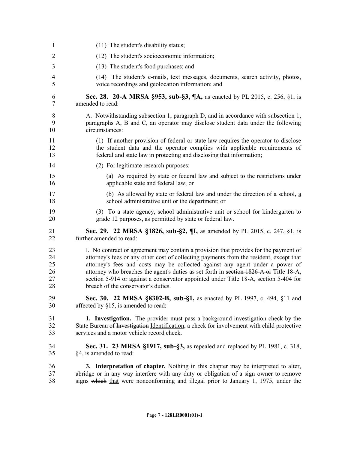| 1              | (11) The student's disability status;                                                       |
|----------------|---------------------------------------------------------------------------------------------|
| $\overline{2}$ | (12) The student's socioeconomic information;                                               |
| 3              | (13) The student's food purchases; and                                                      |
| 4              | (14) The student's e-mails, text messages, documents, search activity, photos,              |
| 5              | voice recordings and geolocation information; and                                           |
| 6              | Sec. 28. 20-A MRSA §953, sub-§3, ¶A, as enacted by PL 2015, c. 256, §1, is                  |
| 7              | amended to read:                                                                            |
| 8              | A. Notwithstanding subsection 1, paragraph D, and in accordance with subsection 1,          |
| 9              | paragraphs A, B and C, an operator may disclose student data under the following            |
| 10             | circumstances:                                                                              |
| 11             | (1) If another provision of federal or state law requires the operator to disclose          |
| 12             | the student data and the operator complies with applicable requirements of                  |
| 13             | federal and state law in protecting and disclosing that information;                        |
| 14             | (2) For legitimate research purposes:                                                       |
| 15             | (a) As required by state or federal law and subject to the restrictions under               |
| 16             | applicable state and federal law; or                                                        |
| 17             | (b) As allowed by state or federal law and under the direction of a school, $\underline{a}$ |
| 18             | school administrative unit or the department; or                                            |
| 19             | (3) To a state agency, school administrative unit or school for kindergarten to             |
| 20             | grade 12 purposes, as permitted by state or federal law.                                    |
| 21             | Sec. 29. 22 MRSA §1826, sub-§2, ¶I, as amended by PL 2015, c. 247, §1, is                   |
| 22             | further amended to read:                                                                    |
| 23             | I. No contract or agreement may contain a provision that provides for the payment of        |
| 24             | attorney's fees or any other cost of collecting payments from the resident, except that     |
| 25             | attorney's fees and costs may be collected against any agent under a power of               |
| 26             | attorney who breaches the agent's duties as set forth in section 1826 A or Title 18-A,      |
| 27             | section 5-914 or against a conservator appointed under Title 18-A, section 5-404 for        |
| 28             | breach of the conservator's duties.                                                         |
| 29             | Sec. 30. 22 MRSA §8302-B, sub-§1, as enacted by PL 1997, c. 494, §11 and                    |
| 30             | affected by $§15$ , is amended to read:                                                     |
| 31             | 1. Investigation. The provider must pass a background investigation check by the            |
| 32             | State Bureau of Investigation Identification, a check for involvement with child protective |
| 33             | services and a motor vehicle record check.                                                  |
| 34             | Sec. 31. 23 MRSA §1917, sub-§3, as repealed and replaced by PL 1981, c. 318,                |
| 35             | §4, is amended to read:                                                                     |
| 36             | 3. Interpretation of chapter. Nothing in this chapter may be interpreted to alter,          |
| 37             | abridge or in any way interfere with any duty or obligation of a sign owner to remove       |
| 38             | signs which that were nonconforming and illegal prior to January 1, 1975, under the         |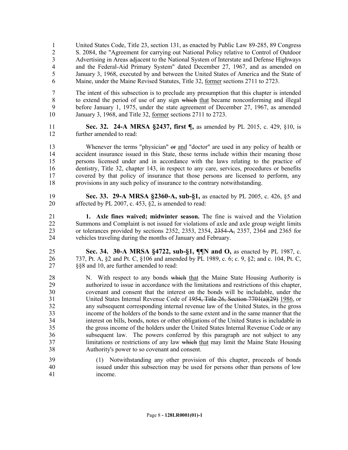United States Code, Title 23, section 131, as enacted by Public Law 89-285, 89 Congress S. 2084, the "Agreement for carrying out National Policy relative to Control of Outdoor Advertising in Areas adjacent to the National System of Interstate and Defense Highways and the Federal-Aid Primary System" dated December 27, 1967, and as amended on January 3, 1968, executed by and between the United States of America and the State of Maine, under the Maine Revised Statutes, Title 32, former sections 2711 to 2723.

- The intent of this subsection is to preclude any presumption that this chapter is intended 8 to extend the period of use of any sign which that became nonconforming and illegal before January 1, 1975, under the state agreement of December 27, 1967, as amended January 3, 1968, and Title 32, former sections 2711 to 2723.
- **Sec. 32. 24-A MRSA §2437, first ¶,** as amended by PL 2015, c. 429, §10, is further amended to read:

13 Whenever the terms "physician" or and "doctor" are used in any policy of health or accident insurance issued in this State, these terms include within their meaning those persons licensed under and in accordance with the laws relating to the practice of dentistry, Title 32, chapter 143, in respect to any care, services, procedures or benefits covered by that policy of insurance that those persons are licensed to perform, any provisions in any such policy of insurance to the contrary notwithstanding.

- **Sec. 33. 29-A MRSA §2360-A, sub-§1,** as enacted by PL 2005, c. 426, §5 and affected by PL 2007, c. 453, §2, is amended to read:
- **1. Axle fines waived; midwinter season.** The fine is waived and the Violation Summons and Complaint is not issued for violations of axle and axle group weight limits or tolerances provided by sections 2352, 2353, 2354, 2354-A, 2357, 2364 and 2365 for vehicles traveling during the months of January and February.
- **Sec. 34. 30-A MRSA §4722, sub-§1, ¶¶N and O,** as enacted by PL 1987, c. 737, Pt. A, §2 and Pt. C, §106 and amended by PL 1989, c. 6; c. 9, §2; and c. 104, Pt. C, §§8 and 10, are further amended to read:
- 28 N. With respect to any bonds which that the Maine State Housing Authority is authorized to issue in accordance with the limitations and restrictions of this chapter, covenant and consent that the interest on the bonds will be includable, under the United States Internal Revenue Code of 1954, Title 26, Section 7701(a)(29) 1986, or any subsequent corresponding internal revenue law of the United States, in the gross income of the holders of the bonds to the same extent and in the same manner that the interest on bills, bonds, notes or other obligations of the United States is includable in the gross income of the holders under the United States Internal Revenue Code or any subsequent law. The powers conferred by this paragraph are not subject to any 37 limitations or restrictions of any law which that may limit the Maine State Housing Authority's power to so covenant and consent.
- (1) Notwithstanding any other provision of this chapter, proceeds of bonds issued under this subsection may be used for persons other than persons of low income.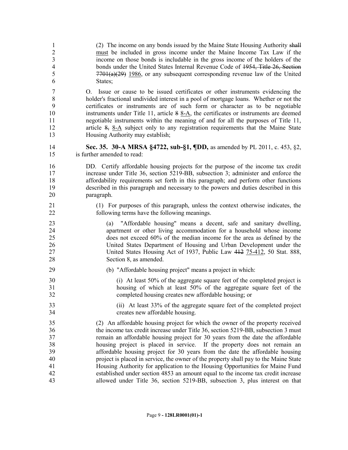| $\mathbf{1}$                        | (2) The income on any bonds issued by the Maine State Housing Authority shall                                                                                                                                                                                                                                                                                                                                                                                                                                                                                                                    |
|-------------------------------------|--------------------------------------------------------------------------------------------------------------------------------------------------------------------------------------------------------------------------------------------------------------------------------------------------------------------------------------------------------------------------------------------------------------------------------------------------------------------------------------------------------------------------------------------------------------------------------------------------|
| $\overline{2}$                      | must be included in gross income under the Maine Income Tax Law if the                                                                                                                                                                                                                                                                                                                                                                                                                                                                                                                           |
| $\mathfrak{Z}$                      | income on those bonds is includable in the gross income of the holders of the                                                                                                                                                                                                                                                                                                                                                                                                                                                                                                                    |
| $\overline{4}$                      | bonds under the United States Internal Revenue Code of 1954, Title 26, Section                                                                                                                                                                                                                                                                                                                                                                                                                                                                                                                   |
| 5                                   | $7701(a)(29)$ 1986, or any subsequent corresponding revenue law of the United                                                                                                                                                                                                                                                                                                                                                                                                                                                                                                                    |
| 6                                   | States;                                                                                                                                                                                                                                                                                                                                                                                                                                                                                                                                                                                          |
| 7<br>8<br>9<br>10<br>11<br>12<br>13 | Issue or cause to be issued certificates or other instruments evidencing the<br>O.<br>holder's fractional undivided interest in a pool of mortgage loans. Whether or not the<br>certificates or instruments are of such form or character as to be negotiable<br>instruments under Title 11, article $8$ 8-A, the certificates or instruments are deemed<br>negotiable instruments within the meaning of and for all the purposes of Title 11,<br>article $\frac{8}{2}$ , $\frac{8-A}{4}$ subject only to any registration requirements that the Maine State<br>Housing Authority may establish; |
| 14                                  | Sec. 35. 30-A MRSA §4722, sub-§1, ¶DD, as amended by PL 2011, c. 453, §2,                                                                                                                                                                                                                                                                                                                                                                                                                                                                                                                        |
| 15                                  | is further amended to read:                                                                                                                                                                                                                                                                                                                                                                                                                                                                                                                                                                      |
| 16                                  | DD. Certify affordable housing projects for the purpose of the income tax credit                                                                                                                                                                                                                                                                                                                                                                                                                                                                                                                 |
| 17                                  | increase under Title 36, section 5219-BB, subsection 3; administer and enforce the                                                                                                                                                                                                                                                                                                                                                                                                                                                                                                               |
| 18                                  | affordability requirements set forth in this paragraph; and perform other functions                                                                                                                                                                                                                                                                                                                                                                                                                                                                                                              |
| 19                                  | described in this paragraph and necessary to the powers and duties described in this                                                                                                                                                                                                                                                                                                                                                                                                                                                                                                             |
| 20                                  | paragraph.                                                                                                                                                                                                                                                                                                                                                                                                                                                                                                                                                                                       |
| 21                                  | (1) For purposes of this paragraph, unless the context otherwise indicates, the                                                                                                                                                                                                                                                                                                                                                                                                                                                                                                                  |
| 22                                  | following terms have the following meanings.                                                                                                                                                                                                                                                                                                                                                                                                                                                                                                                                                     |
| 23<br>24<br>25<br>26<br>27<br>28    | "Affordable housing" means a decent, safe and sanitary dwelling,<br>(a)<br>apartment or other living accommodation for a household whose income<br>does not exceed 60% of the median income for the area as defined by the<br>United States Department of Housing and Urban Development under the<br>United States Housing Act of 1937, Public Law 412 75-412, 50 Stat. 888,<br>Section 8, as amended.                                                                                                                                                                                           |
| 29                                  | (b) "Affordable housing project" means a project in which:                                                                                                                                                                                                                                                                                                                                                                                                                                                                                                                                       |
| 30                                  | (i) At least 50% of the aggregate square feet of the completed project is                                                                                                                                                                                                                                                                                                                                                                                                                                                                                                                        |
| 31                                  | housing of which at least 50% of the aggregate square feet of the                                                                                                                                                                                                                                                                                                                                                                                                                                                                                                                                |
| 32                                  | completed housing creates new affordable housing; or                                                                                                                                                                                                                                                                                                                                                                                                                                                                                                                                             |
| 33                                  | (ii) At least 33% of the aggregate square feet of the completed project                                                                                                                                                                                                                                                                                                                                                                                                                                                                                                                          |
| 34                                  | creates new affordable housing.                                                                                                                                                                                                                                                                                                                                                                                                                                                                                                                                                                  |
| 35                                  | (2) An affordable housing project for which the owner of the property received                                                                                                                                                                                                                                                                                                                                                                                                                                                                                                                   |
| 36                                  | the income tax credit increase under Title 36, section 5219-BB, subsection 3 must                                                                                                                                                                                                                                                                                                                                                                                                                                                                                                                |
| 37                                  | remain an affordable housing project for 30 years from the date the affordable                                                                                                                                                                                                                                                                                                                                                                                                                                                                                                                   |
| 38                                  | housing project is placed in service. If the property does not remain an                                                                                                                                                                                                                                                                                                                                                                                                                                                                                                                         |
| 39                                  | affordable housing project for 30 years from the date the affordable housing                                                                                                                                                                                                                                                                                                                                                                                                                                                                                                                     |
| 40                                  | project is placed in service, the owner of the property shall pay to the Maine State                                                                                                                                                                                                                                                                                                                                                                                                                                                                                                             |
| 41                                  | Housing Authority for application to the Housing Opportunities for Maine Fund                                                                                                                                                                                                                                                                                                                                                                                                                                                                                                                    |
| 42                                  | established under section 4853 an amount equal to the income tax credit increase                                                                                                                                                                                                                                                                                                                                                                                                                                                                                                                 |
| 43                                  | allowed under Title 36, section 5219-BB, subsection 3, plus interest on that                                                                                                                                                                                                                                                                                                                                                                                                                                                                                                                     |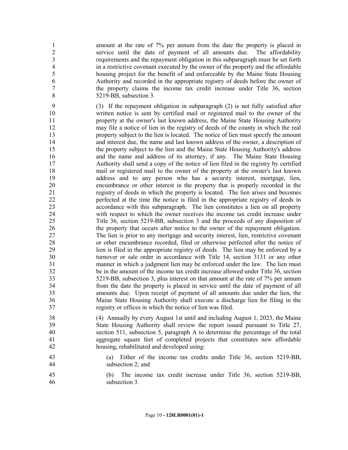amount at the rate of 7% per annum from the date the property is placed in service until the date of payment of all amounts due. The affordability requirements and the repayment obligation in this subparagraph must be set forth in a restrictive covenant executed by the owner of the property and the affordable housing project for the benefit of and enforceable by the Maine State Housing Authority and recorded in the appropriate registry of deeds before the owner of the property claims the income tax credit increase under Title 36, section 5219-BB, subsection 3.

 (3) If the repayment obligation in subparagraph (2) is not fully satisfied after written notice is sent by certified mail or registered mail to the owner of the property at the owner's last known address, the Maine State Housing Authority may file a notice of lien in the registry of deeds of the county in which the real property subject to the lien is located. The notice of lien must specify the amount and interest due, the name and last known address of the owner, a description of the property subject to the lien and the Maine State Housing Authority's address and the name and address of its attorney, if any. The Maine State Housing Authority shall send a copy of the notice of lien filed in the registry by certified mail or registered mail to the owner of the property at the owner's last known address and to any person who has a security interest, mortgage, lien, encumbrance or other interest in the property that is properly recorded in the registry of deeds in which the property is located. The lien arises and becomes perfected at the time the notice is filed in the appropriate registry of deeds in accordance with this subparagraph. The lien constitutes a lien on all property with respect to which the owner receives the income tax credit increase under Title 36, section 5219-BB, subsection 3 and the proceeds of any disposition of the property that occurs after notice to the owner of the repayment obligation. The lien is prior to any mortgage and security interest, lien, restrictive covenant or other encumbrance recorded, filed or otherwise perfected after the notice of lien is filed in the appropriate registry of deeds. The lien may be enforced by a turnover or sale order in accordance with Title 14, section 3131 or any other manner in which a judgment lien may be enforced under the law. The lien must be in the amount of the income tax credit increase allowed under Title 36, section 5219-BB, subsection 3, plus interest on that amount at the rate of 7% per annum from the date the property is placed in service until the date of payment of all amounts due. Upon receipt of payment of all amounts due under the lien, the Maine State Housing Authority shall execute a discharge lien for filing in the registry or offices in which the notice of lien was filed.

 (4) Annually by every August 1st until and including August 1, 2023, the Maine State Housing Authority shall review the report issued pursuant to Title 27, section 511, subsection 5, paragraph A to determine the percentage of the total aggregate square feet of completed projects that constitutes new affordable housing, rehabilitated and developed using:

 (a) Either of the income tax credits under Title 36, section 5219-BB, subsection 2; and

 (b) The income tax credit increase under Title 36, section 5219-BB, subsection 3.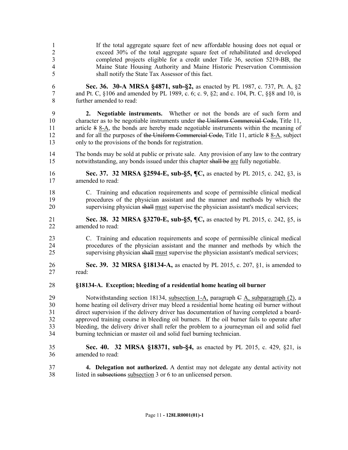- If the total aggregate square feet of new affordable housing does not equal or exceed 30% of the total aggregate square feet of rehabilitated and developed completed projects eligible for a credit under Title 36, section 5219-BB, the Maine State Housing Authority and Maine Historic Preservation Commission shall notify the State Tax Assessor of this fact.
- **Sec. 36. 30-A MRSA §4871, sub-§2,** as enacted by PL 1987, c. 737, Pt. A, §2 and Pt. C, §106 and amended by PL 1989, c. 6; c. 9, §2; and c. 104, Pt. C, §§8 and 10, is further amended to read:
- **2. Negotiable instruments.** Whether or not the bonds are of such form and 10 character as to be negotiable instruments under the Uniform Commercial Code, Title 11, 11 article 8 8-A, the bonds are hereby made negotiable instruments within the meaning of 12 and for all the purposes of the Uniform Commercial Code, Title 11, article 8 8-A, subject only to the provisions of the bonds for registration.
- The bonds may be sold at public or private sale. Any provision of any law to the contrary notwithstanding, any bonds issued under this chapter shall be are fully negotiable.
- **Sec. 37. 32 MRSA §2594-E, sub-§5, ¶C,** as enacted by PL 2015, c. 242, §3, is amended to read:
- C. Training and education requirements and scope of permissible clinical medical procedures of the physician assistant and the manner and methods by which the supervising physician shall must supervise the physician assistant's medical services;
- **Sec. 38. 32 MRSA §3270-E, sub-§5, ¶C,** as enacted by PL 2015, c. 242, §5, is amended to read:
- C. Training and education requirements and scope of permissible clinical medical procedures of the physician assistant and the manner and methods by which the supervising physician shall must supervise the physician assistant's medical services;
- **Sec. 39. 32 MRSA §18134-A,** as enacted by PL 2015, c. 207, §1, is amended to read:
- **§18134-A. Exception; bleeding of a residential home heating oil burner**
- Notwithstanding section 18134, subsection 1-A, paragraph C A, subparagraph (2), a home heating oil delivery driver may bleed a residential home heating oil burner without direct supervision if the delivery driver has documentation of having completed a board- approved training course in bleeding oil burners. If the oil burner fails to operate after bleeding, the delivery driver shall refer the problem to a journeyman oil and solid fuel burning technician or master oil and solid fuel burning technician.
- **Sec. 40. 32 MRSA §18371, sub-§4,** as enacted by PL 2015, c. 429, §21, is amended to read:
- **4. Delegation not authorized.** A dentist may not delegate any dental activity not listed in subsections subsection 3 or 6 to an unlicensed person.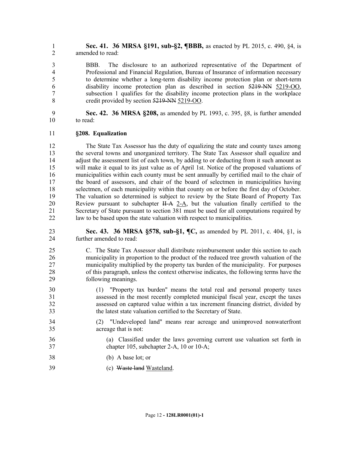**Sec. 41. 36 MRSA §191, sub-§2, ¶BBB,** as enacted by PL 2015, c. 490, §4, is amended to read:

 BBB. The disclosure to an authorized representative of the Department of Professional and Financial Regulation, Bureau of Insurance of information necessary to determine whether a long-term disability income protection plan or short-term disability income protection plan as described in section 5219-NN 5219-OO, subsection 1 qualifies for the disability income protection plans in the workplace credit provided by section 5219-NN 5219-OO.

 **Sec. 42. 36 MRSA §208,** as amended by PL 1993, c. 395, §8, is further amended to read:

#### **§208. Equalization**

 The State Tax Assessor has the duty of equalizing the state and county taxes among the several towns and unorganized territory. The State Tax Assessor shall equalize and 14 adjust the assessment list of each town, by adding to or deducting from it such amount as will make it equal to its just value as of April 1st. Notice of the proposed valuations of municipalities within each county must be sent annually by certified mail to the chair of the board of assessors, and chair of the board of selectmen in municipalities having selectmen, of each municipality within that county on or before the first day of October. The valuation so determined is subject to review by the State Board of Property Tax 20 Review pursuant to subchapter II-A 2-A, but the valuation finally certified to the Secretary of State pursuant to section 381 must be used for all computations required by law to be based upon the state valuation with respect to municipalities.

 **Sec. 43. 36 MRSA §578, sub-§1, ¶C,** as amended by PL 2011, c. 404, §1, is further amended to read:

- C. The State Tax Assessor shall distribute reimbursement under this section to each municipality in proportion to the product of the reduced tree growth valuation of the municipality multiplied by the property tax burden of the municipality. For purposes of this paragraph, unless the context otherwise indicates, the following terms have the following meanings.
- (1) "Property tax burden" means the total real and personal property taxes assessed in the most recently completed municipal fiscal year, except the taxes assessed on captured value within a tax increment financing district, divided by the latest state valuation certified to the Secretary of State.
- (2) "Undeveloped land" means rear acreage and unimproved nonwaterfront acreage that is not:
- (a) Classified under the laws governing current use valuation set forth in chapter 105, subchapter 2-A, 10 or 10-A;
- (b) A base lot; or
- (c) Waste land Wasteland.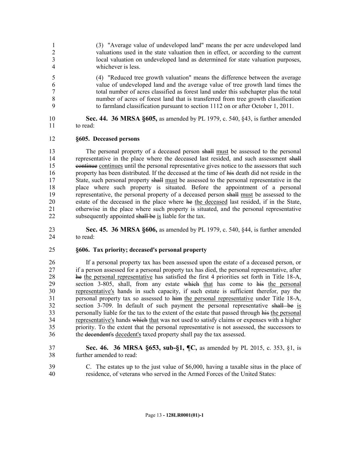- (3) "Average value of undeveloped land" means the per acre undeveloped land valuations used in the state valuation then in effect, or according to the current local valuation on undeveloped land as determined for state valuation purposes, whichever is less.
- (4) "Reduced tree growth valuation" means the difference between the average value of undeveloped land and the average value of tree growth land times the total number of acres classified as forest land under this subchapter plus the total number of acres of forest land that is transferred from tree growth classification to farmland classification pursuant to section 1112 on or after October 1, 2011.

 **Sec. 44. 36 MRSA §605,** as amended by PL 1979, c. 540, §43, is further amended to read:

### **§605. Deceased persons**

 The personal property of a deceased person shall must be assessed to the personal 14 representative in the place where the deceased last resided, and such assessment shall continue continues until the personal representative gives notice to the assessors that such 16 property has been distributed. If the deceased at the time of his death did not reside in the 17 State, such personal property shall must be assessed to the personal representative in the place where such property is situated. Before the appointment of a personal representative, the personal property of a deceased person shall must be assessed to the estate of the deceased in the place where he the deceased last resided, if in the State, otherwise in the place where such property is situated, and the personal representative 22 subsequently appointed shall be is liable for the tax.

 **Sec. 45. 36 MRSA §606,** as amended by PL 1979, c. 540, §44, is further amended to read:

#### **§606. Tax priority; deceased's personal property**

 If a personal property tax has been assessed upon the estate of a deceased person, or if a person assessed for a personal property tax has died, the personal representative, after he the personal representative has satisfied the first 4 priorities set forth in Title 18-A, 29 section 3-805, shall, from any estate which that has come to his the personal representative's hands in such capacity, if such estate is sufficient therefor, pay the personal property tax so assessed to him the personal representative under Title 18-A, section 3-709. In default of such payment the personal representative shall be is personally liable for the tax to the extent of the estate that passed through his the personal 34 representative's hands which that was not used to satisfy claims or expenses with a higher priority. To the extent that the personal representative is not assessed, the successors to the decendent's decedent's taxed property shall pay the tax assessed.

- **Sec. 46. 36 MRSA §653, sub-§1, ¶C,** as amended by PL 2015, c. 353, §1, is further amended to read:
- C. The estates up to the just value of \$6,000, having a taxable situs in the place of residence, of veterans who served in the Armed Forces of the United States: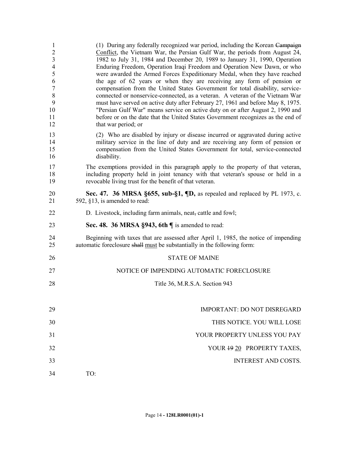| $\mathbf{1}$<br>$\overline{2}$<br>$\mathfrak{Z}$<br>$\overline{4}$<br>5<br>6<br>$\overline{7}$<br>$\,8\,$<br>9<br>10<br>11<br>12 | (1) During any federally recognized war period, including the Korean Campaign<br>Conflict, the Vietnam War, the Persian Gulf War, the periods from August 24,<br>1982 to July 31, 1984 and December 20, 1989 to January 31, 1990, Operation<br>Enduring Freedom, Operation Iraqi Freedom and Operation New Dawn, or who<br>were awarded the Armed Forces Expeditionary Medal, when they have reached<br>the age of 62 years or when they are receiving any form of pension or<br>compensation from the United States Government for total disability, service-<br>connected or nonservice-connected, as a veteran. A veteran of the Vietnam War<br>must have served on active duty after February 27, 1961 and before May 8, 1975.<br>"Persian Gulf War" means service on active duty on or after August 2, 1990 and<br>before or on the date that the United States Government recognizes as the end of<br>that war period; or |
|----------------------------------------------------------------------------------------------------------------------------------|---------------------------------------------------------------------------------------------------------------------------------------------------------------------------------------------------------------------------------------------------------------------------------------------------------------------------------------------------------------------------------------------------------------------------------------------------------------------------------------------------------------------------------------------------------------------------------------------------------------------------------------------------------------------------------------------------------------------------------------------------------------------------------------------------------------------------------------------------------------------------------------------------------------------------------|
| 13<br>14<br>15<br>16                                                                                                             | (2) Who are disabled by injury or disease incurred or aggravated during active<br>military service in the line of duty and are receiving any form of pension or<br>compensation from the United States Government for total, service-connected<br>disability.                                                                                                                                                                                                                                                                                                                                                                                                                                                                                                                                                                                                                                                                   |
| 17<br>18<br>19                                                                                                                   | The exemptions provided in this paragraph apply to the property of that veteran,<br>including property held in joint tenancy with that veteran's spouse or held in a<br>revocable living trust for the benefit of that veteran.                                                                                                                                                                                                                                                                                                                                                                                                                                                                                                                                                                                                                                                                                                 |
| 20<br>21                                                                                                                         | Sec. 47. 36 MRSA §655, sub-§1, $\P$ D, as repealed and replaced by PL 1973, c.<br>592, $§13$ , is amended to read:                                                                                                                                                                                                                                                                                                                                                                                                                                                                                                                                                                                                                                                                                                                                                                                                              |
| 22                                                                                                                               | D. Livestock, including farm animals, neat, cattle and fowl;                                                                                                                                                                                                                                                                                                                                                                                                                                                                                                                                                                                                                                                                                                                                                                                                                                                                    |
| 23                                                                                                                               | Sec. 48. 36 MRSA $\S$ 943, 6th $\P$ is amended to read:                                                                                                                                                                                                                                                                                                                                                                                                                                                                                                                                                                                                                                                                                                                                                                                                                                                                         |
| 24<br>25                                                                                                                         | Beginning with taxes that are assessed after April 1, 1985, the notice of impending<br>automatic foreclosure shall must be substantially in the following form:                                                                                                                                                                                                                                                                                                                                                                                                                                                                                                                                                                                                                                                                                                                                                                 |
| 26                                                                                                                               | <b>STATE OF MAINE</b>                                                                                                                                                                                                                                                                                                                                                                                                                                                                                                                                                                                                                                                                                                                                                                                                                                                                                                           |
| 27                                                                                                                               | NOTICE OF IMPENDING AUTOMATIC FORECLOSURE                                                                                                                                                                                                                                                                                                                                                                                                                                                                                                                                                                                                                                                                                                                                                                                                                                                                                       |
| 28                                                                                                                               | Title 36, M.R.S.A. Section 943                                                                                                                                                                                                                                                                                                                                                                                                                                                                                                                                                                                                                                                                                                                                                                                                                                                                                                  |
| 29                                                                                                                               | IMPORTANT: DO NOT DISREGARD                                                                                                                                                                                                                                                                                                                                                                                                                                                                                                                                                                                                                                                                                                                                                                                                                                                                                                     |
| 30                                                                                                                               | THIS NOTICE. YOU WILL LOSE                                                                                                                                                                                                                                                                                                                                                                                                                                                                                                                                                                                                                                                                                                                                                                                                                                                                                                      |
| 31                                                                                                                               | YOUR PROPERTY UNLESS YOU PAY                                                                                                                                                                                                                                                                                                                                                                                                                                                                                                                                                                                                                                                                                                                                                                                                                                                                                                    |
| 32                                                                                                                               | YOUR 19 20 PROPERTY TAXES,                                                                                                                                                                                                                                                                                                                                                                                                                                                                                                                                                                                                                                                                                                                                                                                                                                                                                                      |
| 33                                                                                                                               | <b>INTEREST AND COSTS.</b>                                                                                                                                                                                                                                                                                                                                                                                                                                                                                                                                                                                                                                                                                                                                                                                                                                                                                                      |
| 34                                                                                                                               | TO:                                                                                                                                                                                                                                                                                                                                                                                                                                                                                                                                                                                                                                                                                                                                                                                                                                                                                                                             |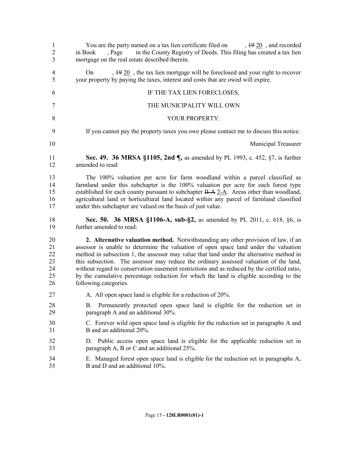| $\mathbf{1}$<br>$\overline{2}$<br>3    | You are the party named on a tax lien certificate filed on $\frac{1920}{192}$ , and recorded<br>in the County Registry of Deeds. This filing has created a tax lien<br>, Page<br>in Book<br>mortgage on the real estate described therein.                                                                                                                                                                                                                                                                                                                                        |
|----------------------------------------|-----------------------------------------------------------------------------------------------------------------------------------------------------------------------------------------------------------------------------------------------------------------------------------------------------------------------------------------------------------------------------------------------------------------------------------------------------------------------------------------------------------------------------------------------------------------------------------|
| $\overline{4}$<br>5                    | $, 1920$ , the tax lien mortgage will be foreclosed and your right to recover<br>On<br>your property by paying the taxes, interest and costs that are owed will expire.                                                                                                                                                                                                                                                                                                                                                                                                           |
| 6                                      | IF THE TAX LIEN FORECLOSES,                                                                                                                                                                                                                                                                                                                                                                                                                                                                                                                                                       |
| 7                                      | THE MUNICIPALITY WILL OWN                                                                                                                                                                                                                                                                                                                                                                                                                                                                                                                                                         |
| 8                                      | YOUR PROPERTY.                                                                                                                                                                                                                                                                                                                                                                                                                                                                                                                                                                    |
| 9                                      | If you cannot pay the property taxes you owe please contact me to discuss this notice.                                                                                                                                                                                                                                                                                                                                                                                                                                                                                            |
| 10                                     | Municipal Treasurer                                                                                                                                                                                                                                                                                                                                                                                                                                                                                                                                                               |
| 11<br>12                               | Sec. 49. 36 MRSA §1105, 2nd ¶, as amended by PL 1993, c. 452, §7, is further<br>amended to read:                                                                                                                                                                                                                                                                                                                                                                                                                                                                                  |
| 13<br>14<br>15<br>16<br>17             | The 100% valuation per acre for farm woodland within a parcel classified as<br>farmland under this subchapter is the 100% valuation per acre for each forest type<br>established for each county pursuant to subchapter $H-A \, 2-A$ . Areas other than woodland,<br>agricultural land or horticultural land located within any parcel of farmland classified<br>under this subchapter are valued on the basis of just value.                                                                                                                                                     |
| 18<br>19                               | Sec. 50. 36 MRSA §1106-A, sub-§2, as amended by PL 2011, c. 618, §6, is<br>further amended to read:                                                                                                                                                                                                                                                                                                                                                                                                                                                                               |
| 20<br>21<br>22<br>23<br>24<br>25<br>26 | 2. Alternative valuation method. Notwithstanding any other provision of law, if an<br>assessor is unable to determine the valuation of open space land under the valuation<br>method in subsection 1, the assessor may value that land under the alternative method in<br>this subsection. The assessor may reduce the ordinary assessed valuation of the land,<br>without regard to conservation easement restrictions and as reduced by the certified ratio,<br>by the cumulative percentage reduction for which the land is eligible according to the<br>following categories. |
| 27                                     | A. All open space land is eligible for a reduction of 20%.                                                                                                                                                                                                                                                                                                                                                                                                                                                                                                                        |
| 28<br>29                               | Permanently protected open space land is eligible for the reduction set in<br>В.<br>paragraph A and an additional 30%.                                                                                                                                                                                                                                                                                                                                                                                                                                                            |
| 30<br>31                               | C. Forever wild open space land is eligible for the reduction set in paragraphs A and<br>B and an additional 20%.                                                                                                                                                                                                                                                                                                                                                                                                                                                                 |
| 32<br>33                               | D. Public access open space land is eligible for the applicable reduction set in<br>paragraph A, B or C and an additional 25%.                                                                                                                                                                                                                                                                                                                                                                                                                                                    |
| 34<br>35                               | E. Managed forest open space land is eligible for the reduction set in paragraphs A,<br>B and D and an additional 10%.                                                                                                                                                                                                                                                                                                                                                                                                                                                            |
|                                        |                                                                                                                                                                                                                                                                                                                                                                                                                                                                                                                                                                                   |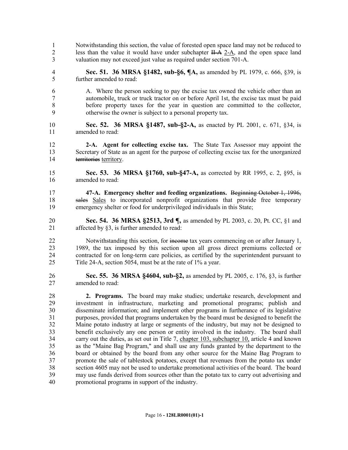- Notwithstanding this section, the value of forested open space land may not be reduced to 2 less than the value it would have under subchapter  $H - A$  2-A, and the open space land valuation may not exceed just value as required under section 701-A.
- **Sec. 51. 36 MRSA §1482, sub-§6, ¶A,** as amended by PL 1979, c. 666, §39, is further amended to read:
- A. Where the person seeking to pay the excise tax owned the vehicle other than an automobile, truck or truck tractor on or before April 1st, the excise tax must be paid before property taxes for the year in question are committed to the collector, otherwise the owner is subject to a personal property tax.
- **Sec. 52. 36 MRSA §1487, sub-§2-A,** as enacted by PL 2001, c. 671, §34, is amended to read:
- **2-A. Agent for collecting excise tax.** The State Tax Assessor may appoint the Secretary of State as an agent for the purpose of collecting excise tax for the unorganized territories territory.
- **Sec. 53. 36 MRSA §1760, sub-§47-A,** as corrected by RR 1995, c. 2, §95, is amended to read:
- **47-A. Emergency shelter and feeding organizations.** Beginning October 1, 1996, sales Sales to incorporated nonprofit organizations that provide free temporary emergency shelter or food for underprivileged individuals in this State;
- **Sec. 54. 36 MRSA §2513, 3rd ¶,** as amended by PL 2003, c. 20, Pt. CC, §1 and affected by §3, is further amended to read:
- 22 Notwithstanding this section, for income tax years commencing on or after January 1, 1989, the tax imposed by this section upon all gross direct premiums collected or contracted for on long-term care policies, as certified by the superintendent pursuant to Title 24-A, section 5054, must be at the rate of 1% a year.
- **Sec. 55. 36 MRSA §4604, sub-§2,** as amended by PL 2005, c. 176, §3, is further amended to read:
- **2. Programs.** The board may make studies; undertake research, development and investment in infrastructure, marketing and promotional programs; publish and disseminate information; and implement other programs in furtherance of its legislative purposes, provided that programs undertaken by the board must be designed to benefit the Maine potato industry at large or segments of the industry, but may not be designed to benefit exclusively any one person or entity involved in the industry. The board shall carry out the duties, as set out in Title 7, chapter 103, subchapter 10, article 4 and known as the "Maine Bag Program," and shall use any funds granted by the department to the board or obtained by the board from any other source for the Maine Bag Program to promote the sale of tablestock potatoes, except that revenues from the potato tax under section 4605 may not be used to undertake promotional activities of the board. The board may use funds derived from sources other than the potato tax to carry out advertising and promotional programs in support of the industry.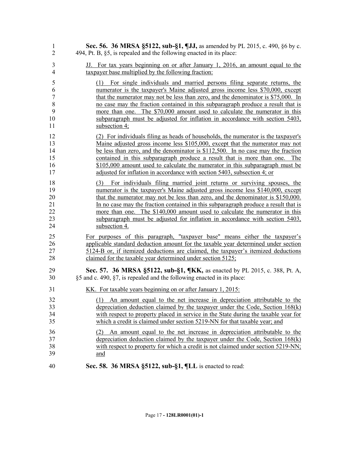| 1                                              | Sec. 56. 36 MRSA §5122, sub-§1, ¶JJ, as amended by PL 2015, c. 490, §6 by c.                                                                                                                                                                                                                                                                                                                                                                                                                                            |
|------------------------------------------------|-------------------------------------------------------------------------------------------------------------------------------------------------------------------------------------------------------------------------------------------------------------------------------------------------------------------------------------------------------------------------------------------------------------------------------------------------------------------------------------------------------------------------|
| $\overline{2}$                                 | 494, Pt. B, §5, is repealed and the following enacted in its place:                                                                                                                                                                                                                                                                                                                                                                                                                                                     |
| 3                                              | JJ. For tax years beginning on or after January 1, 2016, an amount equal to the                                                                                                                                                                                                                                                                                                                                                                                                                                         |
| 4                                              | taxpayer base multiplied by the following fraction:                                                                                                                                                                                                                                                                                                                                                                                                                                                                     |
| 5<br>6<br>$\overline{7}$<br>8<br>9<br>10<br>11 | For single individuals and married persons filing separate returns, the<br>(1)<br>numerator is the taxpayer's Maine adjusted gross income less \$70,000, except<br>that the numerator may not be less than zero, and the denominator is \$75,000. In<br>no case may the fraction contained in this subparagraph produce a result that is<br>more than one. The \$70,000 amount used to calculate the numerator in this<br>subparagraph must be adjusted for inflation in accordance with section 5403,<br>subsection 4; |
| 12                                             | (2) For individuals filing as heads of households, the numerator is the taxpayer's                                                                                                                                                                                                                                                                                                                                                                                                                                      |
| 13                                             | Maine adjusted gross income less \$105,000, except that the numerator may not                                                                                                                                                                                                                                                                                                                                                                                                                                           |
| 14                                             | be less than zero, and the denominator is \$112,500. In no case may the fraction                                                                                                                                                                                                                                                                                                                                                                                                                                        |
| 15                                             | contained in this subparagraph produce a result that is more than one. The                                                                                                                                                                                                                                                                                                                                                                                                                                              |
| 16                                             | \$105,000 amount used to calculate the numerator in this subparagraph must be                                                                                                                                                                                                                                                                                                                                                                                                                                           |
| 17                                             | adjusted for inflation in accordance with section 5403, subsection 4; or                                                                                                                                                                                                                                                                                                                                                                                                                                                |
| 18                                             | (3) For individuals filing married joint returns or surviving spouses, the                                                                                                                                                                                                                                                                                                                                                                                                                                              |
| 19                                             | numerator is the taxpayer's Maine adjusted gross income less \$140,000, except                                                                                                                                                                                                                                                                                                                                                                                                                                          |
| 20                                             | that the numerator may not be less than zero, and the denominator is \$150,000.                                                                                                                                                                                                                                                                                                                                                                                                                                         |
| 21                                             | In no case may the fraction contained in this subparagraph produce a result that is                                                                                                                                                                                                                                                                                                                                                                                                                                     |
| 22                                             | more than one. The \$140,000 amount used to calculate the numerator in this                                                                                                                                                                                                                                                                                                                                                                                                                                             |
| 23                                             | subparagraph must be adjusted for inflation in accordance with section 5403,                                                                                                                                                                                                                                                                                                                                                                                                                                            |
| 24                                             | subsection 4.                                                                                                                                                                                                                                                                                                                                                                                                                                                                                                           |
| 25                                             | For purposes of this paragraph, "taxpayer base" means either the taxpayer's                                                                                                                                                                                                                                                                                                                                                                                                                                             |
| 26                                             | applicable standard deduction amount for the taxable year determined under section                                                                                                                                                                                                                                                                                                                                                                                                                                      |
| 27                                             | <u>5124-B or, if itemized deductions are claimed, the taxpayer's itemized deductions</u>                                                                                                                                                                                                                                                                                                                                                                                                                                |
| 28                                             | claimed for the taxable year determined under section 5125;                                                                                                                                                                                                                                                                                                                                                                                                                                                             |
| 29                                             | Sec. 57. 36 MRSA §5122, sub-§1, ¶KK, as enacted by PL 2015, c. 388, Pt. A,                                                                                                                                                                                                                                                                                                                                                                                                                                              |
| 30                                             | §5 and c. 490, §7, is repealed and the following enacted in its place:                                                                                                                                                                                                                                                                                                                                                                                                                                                  |
| 31                                             | <u>KK. For taxable years beginning on or after January 1, 2015:</u>                                                                                                                                                                                                                                                                                                                                                                                                                                                     |
| 32<br>33<br>34<br>35                           | An amount equal to the net increase in depreciation attributable to the<br>(1)<br>depreciation deduction claimed by the taxpayer under the Code, Section $168(k)$<br>with respect to property placed in service in the State during the taxable year for<br>which a credit is claimed under section 5219-NN for that taxable year; and                                                                                                                                                                                  |
| 36                                             | An amount equal to the net increase in depreciation attributable to the                                                                                                                                                                                                                                                                                                                                                                                                                                                 |
| 37                                             | depreciation deduction claimed by the taxpayer under the Code, Section $168(k)$                                                                                                                                                                                                                                                                                                                                                                                                                                         |
| 38                                             | with respect to property for which a credit is not claimed under section 5219-NN;                                                                                                                                                                                                                                                                                                                                                                                                                                       |
| 39                                             | and                                                                                                                                                                                                                                                                                                                                                                                                                                                                                                                     |
| 40                                             | Sec. 58. 36 MRSA §5122, sub-§1, ¶LL is enacted to read:                                                                                                                                                                                                                                                                                                                                                                                                                                                                 |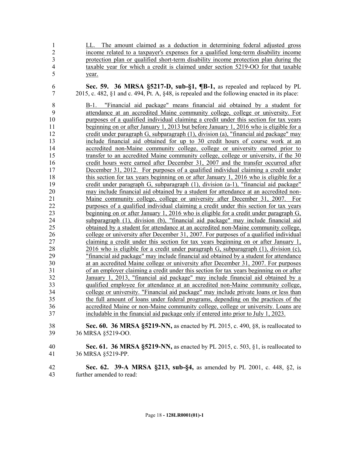| $\mathbf{1}$                                                                                                                                                                   | LL. The amount claimed as a deduction in determining federal adjusted gross                                                                                                                                                                                                                                                                                                                                                                                                                                                                                                                                                                                                                                                                                                                                                                                                                                                                                                                                                                                                                                                                                                                                                                                                                                                                                                                                                                                                                                                                                                                                                                                                                                                                                                                                                                                                                                                                                                                                                                                                                                                                                                                                                                                                                                                                                                                                                                                                                                                                                                                                                                                                                                             |
|--------------------------------------------------------------------------------------------------------------------------------------------------------------------------------|-------------------------------------------------------------------------------------------------------------------------------------------------------------------------------------------------------------------------------------------------------------------------------------------------------------------------------------------------------------------------------------------------------------------------------------------------------------------------------------------------------------------------------------------------------------------------------------------------------------------------------------------------------------------------------------------------------------------------------------------------------------------------------------------------------------------------------------------------------------------------------------------------------------------------------------------------------------------------------------------------------------------------------------------------------------------------------------------------------------------------------------------------------------------------------------------------------------------------------------------------------------------------------------------------------------------------------------------------------------------------------------------------------------------------------------------------------------------------------------------------------------------------------------------------------------------------------------------------------------------------------------------------------------------------------------------------------------------------------------------------------------------------------------------------------------------------------------------------------------------------------------------------------------------------------------------------------------------------------------------------------------------------------------------------------------------------------------------------------------------------------------------------------------------------------------------------------------------------------------------------------------------------------------------------------------------------------------------------------------------------------------------------------------------------------------------------------------------------------------------------------------------------------------------------------------------------------------------------------------------------------------------------------------------------------------------------------------------------|
| $\overline{c}$                                                                                                                                                                 | income related to a taxpayer's expenses for a qualified long-term disability income                                                                                                                                                                                                                                                                                                                                                                                                                                                                                                                                                                                                                                                                                                                                                                                                                                                                                                                                                                                                                                                                                                                                                                                                                                                                                                                                                                                                                                                                                                                                                                                                                                                                                                                                                                                                                                                                                                                                                                                                                                                                                                                                                                                                                                                                                                                                                                                                                                                                                                                                                                                                                                     |
| $\overline{3}$                                                                                                                                                                 | protection plan or qualified short-term disability income protection plan during the                                                                                                                                                                                                                                                                                                                                                                                                                                                                                                                                                                                                                                                                                                                                                                                                                                                                                                                                                                                                                                                                                                                                                                                                                                                                                                                                                                                                                                                                                                                                                                                                                                                                                                                                                                                                                                                                                                                                                                                                                                                                                                                                                                                                                                                                                                                                                                                                                                                                                                                                                                                                                                    |
| $\overline{4}$                                                                                                                                                                 | taxable year for which a credit is claimed under section 5219-OO for that taxable                                                                                                                                                                                                                                                                                                                                                                                                                                                                                                                                                                                                                                                                                                                                                                                                                                                                                                                                                                                                                                                                                                                                                                                                                                                                                                                                                                                                                                                                                                                                                                                                                                                                                                                                                                                                                                                                                                                                                                                                                                                                                                                                                                                                                                                                                                                                                                                                                                                                                                                                                                                                                                       |
| 5                                                                                                                                                                              | year.                                                                                                                                                                                                                                                                                                                                                                                                                                                                                                                                                                                                                                                                                                                                                                                                                                                                                                                                                                                                                                                                                                                                                                                                                                                                                                                                                                                                                                                                                                                                                                                                                                                                                                                                                                                                                                                                                                                                                                                                                                                                                                                                                                                                                                                                                                                                                                                                                                                                                                                                                                                                                                                                                                                   |
| 6                                                                                                                                                                              | Sec. 59. 36 MRSA §5217-D, sub-§1, ¶B-1, as repealed and replaced by PL                                                                                                                                                                                                                                                                                                                                                                                                                                                                                                                                                                                                                                                                                                                                                                                                                                                                                                                                                                                                                                                                                                                                                                                                                                                                                                                                                                                                                                                                                                                                                                                                                                                                                                                                                                                                                                                                                                                                                                                                                                                                                                                                                                                                                                                                                                                                                                                                                                                                                                                                                                                                                                                  |
| $\overline{7}$                                                                                                                                                                 | $2015$ , c. 482, $§1$ and c. 494, Pt. A, $§48$ , is repealed and the following enacted in its place:                                                                                                                                                                                                                                                                                                                                                                                                                                                                                                                                                                                                                                                                                                                                                                                                                                                                                                                                                                                                                                                                                                                                                                                                                                                                                                                                                                                                                                                                                                                                                                                                                                                                                                                                                                                                                                                                                                                                                                                                                                                                                                                                                                                                                                                                                                                                                                                                                                                                                                                                                                                                                    |
| 8<br>9<br>10<br>11<br>12<br>13<br>14<br>15<br>16<br>17<br>18<br>19<br>20<br>21<br>22<br>23<br>24<br>25<br>26<br>27<br>28<br>29<br>30<br>31<br>32<br>33<br>34<br>35<br>36<br>37 | "Financial aid package" means financial aid obtained by a student for<br>$B-1$ .<br>attendance at an accredited Maine community college, college or university. For<br>purposes of a qualified individual claiming a credit under this section for tax years<br>beginning on or after January 1, 2013 but before January 1, 2016 who is eligible for a<br>credit under paragraph G, subparagraph (1), division (a), "financial aid package" may<br>include financial aid obtained for up to 30 credit hours of course work at an<br>accredited non-Maine community college, college or university earned prior to<br>transfer to an accredited Maine community college, college or university, if the 30<br>credit hours were earned after December 31, 2007 and the transfer occurred after<br>December 31, 2012. For purposes of a qualified individual claiming a credit under<br>this section for tax years beginning on or after January 1, 2016 who is eligible for a<br>credit under paragraph $G$ , subparagraph $(1)$ , division $(a-1)$ , "financial aid package"<br>may include financial aid obtained by a student for attendance at an accredited non-<br>Maine community college, college or university after December 31, 2007.<br>For<br>purposes of a qualified individual claiming a credit under this section for tax years<br><u>beginning on or after January 1, 2016 who is eligible for a credit under paragraph G,</u><br>subparagraph (1), division (b), "financial aid package" may include financial aid<br>obtained by a student for attendance at an accredited non-Maine community college,<br>college or university after December 31, 2007. For purposes of a qualified individual<br>claiming a credit under this section for tax years beginning on or after January 1,<br>2016 who is eligible for a credit under paragraph $G$ , subparagraph $(1)$ , division $(c)$ ,<br>"financial aid package" may include financial aid obtained by a student for attendance<br>at an accredited Maine college or university after December 31, 2007. For purposes<br>of an employer claiming a credit under this section for tax years beginning on or after<br>January 1, 2013, "financial aid package" may include financial aid obtained by a<br>qualified employee for attendance at an accredited non-Maine community college,<br>college or university. "Financial aid package" may include private loans or less than<br>the full amount of loans under federal programs, depending on the practices of the<br>accredited Maine or non-Maine community college, college or university. Loans are<br>includable in the financial aid package only if entered into prior to July 1, 2023. |
| 38                                                                                                                                                                             | Sec. 60. 36 MRSA §5219-NN, as enacted by PL 2015, c. 490, §8, is reallocated to                                                                                                                                                                                                                                                                                                                                                                                                                                                                                                                                                                                                                                                                                                                                                                                                                                                                                                                                                                                                                                                                                                                                                                                                                                                                                                                                                                                                                                                                                                                                                                                                                                                                                                                                                                                                                                                                                                                                                                                                                                                                                                                                                                                                                                                                                                                                                                                                                                                                                                                                                                                                                                         |
| 39                                                                                                                                                                             | 36 MRSA §5219-OO.                                                                                                                                                                                                                                                                                                                                                                                                                                                                                                                                                                                                                                                                                                                                                                                                                                                                                                                                                                                                                                                                                                                                                                                                                                                                                                                                                                                                                                                                                                                                                                                                                                                                                                                                                                                                                                                                                                                                                                                                                                                                                                                                                                                                                                                                                                                                                                                                                                                                                                                                                                                                                                                                                                       |
| 40                                                                                                                                                                             | <b>Sec. 61. 36 MRSA §5219-NN, as enacted by PL 2015, c. 503, §1, is reallocated to</b>                                                                                                                                                                                                                                                                                                                                                                                                                                                                                                                                                                                                                                                                                                                                                                                                                                                                                                                                                                                                                                                                                                                                                                                                                                                                                                                                                                                                                                                                                                                                                                                                                                                                                                                                                                                                                                                                                                                                                                                                                                                                                                                                                                                                                                                                                                                                                                                                                                                                                                                                                                                                                                  |
| 41                                                                                                                                                                             | 36 MRSA §5219-PP.                                                                                                                                                                                                                                                                                                                                                                                                                                                                                                                                                                                                                                                                                                                                                                                                                                                                                                                                                                                                                                                                                                                                                                                                                                                                                                                                                                                                                                                                                                                                                                                                                                                                                                                                                                                                                                                                                                                                                                                                                                                                                                                                                                                                                                                                                                                                                                                                                                                                                                                                                                                                                                                                                                       |
| 42                                                                                                                                                                             | Sec. 62. 39-A MRSA §213, sub-§4, as amended by PL 2001, c. 448, §2, is                                                                                                                                                                                                                                                                                                                                                                                                                                                                                                                                                                                                                                                                                                                                                                                                                                                                                                                                                                                                                                                                                                                                                                                                                                                                                                                                                                                                                                                                                                                                                                                                                                                                                                                                                                                                                                                                                                                                                                                                                                                                                                                                                                                                                                                                                                                                                                                                                                                                                                                                                                                                                                                  |

further amended to read: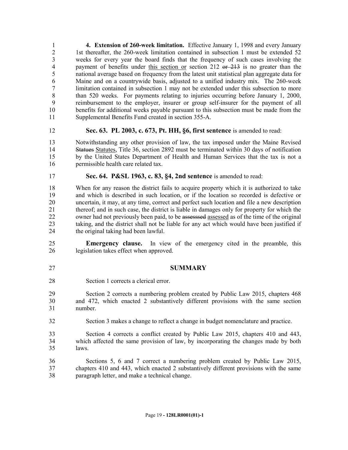**4. Extension of 260-week limitation.** Effective January 1, 1998 and every January 2 1st thereafter, the 260-week limitation contained in subsection 1 must be extended 52 weeks for every year the board finds that the frequency of such cases involving the 4 payment of benefits under this section or section 212 or 213 is no greater than the national average based on frequency from the latest unit statistical plan aggregate data for Maine and on a countrywide basis, adjusted to a unified industry mix. The 260-week limitation contained in subsection 1 may not be extended under this subsection to more than 520 weeks. For payments relating to injuries occurring before January 1, 2000, reimbursement to the employer, insurer or group self-insurer for the payment of all benefits for additional weeks payable pursuant to this subsection must be made from the Supplemental Benefits Fund created in section 355-A.

- **Sec. 63. PL 2003, c. 673, Pt. HH, §6, first sentence** is amended to read:
- Notwithstanding any other provision of law, the tax imposed under the Maine Revised Statues Statutes, Title 36, section 2892 must be terminated within 30 days of notification by the United States Department of Health and Human Services that the tax is not a permissible health care related tax.
- 
- **Sec. 64. P&SL 1963, c. 83, §4, 2nd sentence** is amended to read:

 When for any reason the district fails to acquire property which it is authorized to take and which is described in such location, or if the location so recorded is defective or uncertain, it may, at any time, correct and perfect such location and file a new description thereof; and in such case, the district is liable in damages only for property for which the 22 owner had not previously been paid, to be assesssed assessed as of the time of the original taking, and the district shall not be liable for any act which would have been justified if the original taking had been lawful.

 **Emergency clause.** In view of the emergency cited in the preamble, this legislation takes effect when approved.

- **SUMMARY**
- Section 1 corrects a clerical error.

 Section 2 corrects a numbering problem created by Public Law 2015, chapters 468 and 472, which enacted 2 substantively different provisions with the same section number.

- Section 3 makes a change to reflect a change in budget nomenclature and practice.
- Section 4 corrects a conflict created by Public Law 2015, chapters 410 and 443, which affected the same provision of law, by incorporating the changes made by both laws.

 Sections 5, 6 and 7 correct a numbering problem created by Public Law 2015, chapters 410 and 443, which enacted 2 substantively different provisions with the same paragraph letter, and make a technical change.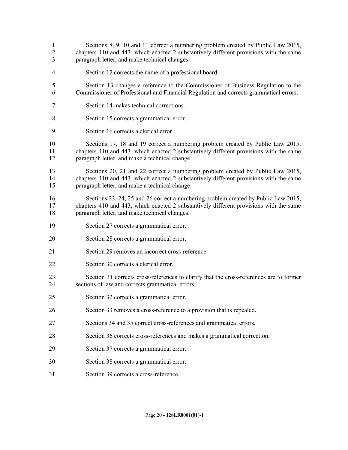- Sections 8, 9, 10 and 11 correct a numbering problem created by Public Law 2015, chapters 410 and 443, which enacted 2 substantively different provisions with the same paragraph letter, and make technical changes.
- Section 12 corrects the name of a professional board.
- Section 13 changes a reference to the Commissioner of Business Regulation to the Commissioner of Professional and Financial Regulation and corrects grammatical errors.
- Section 14 makes technical corrections.
- Section 15 corrects a grammatical error.
- Section 16 corrects a clerical error.

 Sections 17, 18 and 19 correct a numbering problem created by Public Law 2015, chapters 410 and 443, which enacted 2 substantively different provisions with the same paragraph letter, and make a technical change.

 Sections 20, 21 and 22 correct a numbering problem created by Public Law 2015, chapters 410 and 443, which enacted 2 substantively different provisions with the same paragraph letter, and make a technical change.

 Sections 23, 24, 25 and 26 correct a numbering problem created by Public Law 2015, chapters 410 and 443, which enacted 2 substantively different provisions with the same paragraph letter, and make technical changes.

- Section 27 corrects a grammatical error.
- Section 28 corrects a grammatical error.
- Section 29 removes an incorrect cross-reference.
- Section 30 corrects a clerical error.
- Section 31 corrects cross-references to clarify that the cross-references are to former sections of law and corrects grammatical errors.
- Section 32 corrects a grammatical error.
- Section 33 removes a cross-reference to a provision that is repealed.
- Sections 34 and 35 correct cross-references and grammatical errors.
- Section 36 corrects cross-references and makes a grammatical correction.
- Section 37 corrects a grammatical error.
- Section 38 corrects a grammatical error.
- Section 39 corrects a cross-reference.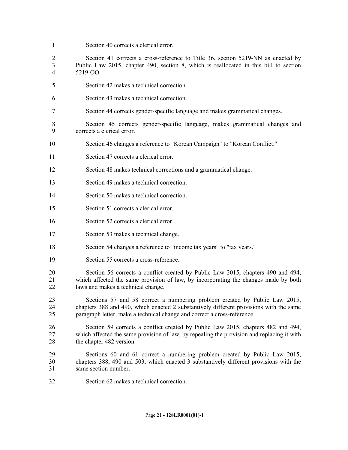Section 40 corrects a clerical error.

 Section 41 corrects a cross-reference to Title 36, section 5219-NN as enacted by Public Law 2015, chapter 490, section 8, which is reallocated in this bill to section 5219-OO.

- Section 42 makes a technical correction.
- Section 43 makes a technical correction.
- Section 44 corrects gender-specific language and makes grammatical changes.

 Section 45 corrects gender-specific language, makes grammatical changes and corrects a clerical error.

- Section 46 changes a reference to "Korean Campaign" to "Korean Conflict."
- Section 47 corrects a clerical error.

Section 48 makes technical corrections and a grammatical change.

- Section 49 makes a technical correction.
- Section 50 makes a technical correction.
- Section 51 corrects a clerical error.
- Section 52 corrects a clerical error.
- Section 53 makes a technical change.
- Section 54 changes a reference to "income tax years" to "tax years."
- Section 55 corrects a cross-reference.

 Section 56 corrects a conflict created by Public Law 2015, chapters 490 and 494, which affected the same provision of law, by incorporating the changes made by both laws and makes a technical change.

 Sections 57 and 58 correct a numbering problem created by Public Law 2015, chapters 388 and 490, which enacted 2 substantively different provisions with the same paragraph letter, make a technical change and correct a cross-reference.

 Section 59 corrects a conflict created by Public Law 2015, chapters 482 and 494, which affected the same provision of law, by repealing the provision and replacing it with the chapter 482 version.

 Sections 60 and 61 correct a numbering problem created by Public Law 2015, chapters 388, 490 and 503, which enacted 3 substantively different provisions with the same section number.

Section 62 makes a technical correction.